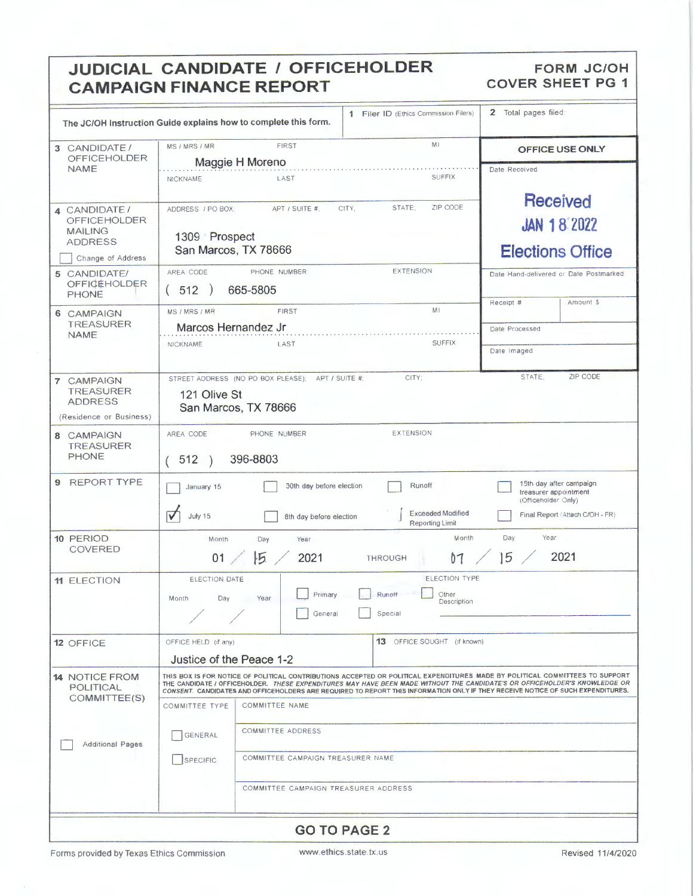# **JUDICIAL CANDIDATE / OFFICEHOLDER** FORM JC/OH **CAMPAIGN FINANCE REPORT CAMPAIGN FINANCE REPORT**

|                                                                                              |                                                                                                                                                                                                                                                                                                                                                                                               | The JC/OH Instruction Guide explains how to complete this form.           | 1 Filer ID (Ethics Commission Filers) | 2 Total pages filed:                                             |                                 |  |  |
|----------------------------------------------------------------------------------------------|-----------------------------------------------------------------------------------------------------------------------------------------------------------------------------------------------------------------------------------------------------------------------------------------------------------------------------------------------------------------------------------------------|---------------------------------------------------------------------------|---------------------------------------|------------------------------------------------------------------|---------------------------------|--|--|
| 3 CANDIDATE/<br><b>OFFICEHOLDER</b>                                                          | MI<br><b>FIRST</b><br>MS / MRS / MR<br>Maggie H Moreno                                                                                                                                                                                                                                                                                                                                        |                                                                           | OFFICE USE ONLY                       |                                                                  |                                 |  |  |
| <b>NAME</b>                                                                                  | <b>NICKNAME</b>                                                                                                                                                                                                                                                                                                                                                                               | LAST                                                                      | Date Received                         |                                                                  |                                 |  |  |
| 4 CANDIDATE/<br><b>OFFICEHOLDER</b><br><b>MAILING</b><br><b>ADDRESS</b><br>Change of Address | ZIP CODE<br>STATE;<br>APT / SUITE #.<br>CITY.<br>ADDRESS / PO BOX:<br>1309 Prospect<br>San Marcos, TX 78666                                                                                                                                                                                                                                                                                   |                                                                           |                                       | <b>Received</b><br><b>JAN 18 2022</b><br><b>Elections Office</b> |                                 |  |  |
| 5 CANDIDATE/<br><b>OFFICEHOLDER</b><br><b>PHONE</b>                                          | AREA CODE<br>(512)                                                                                                                                                                                                                                                                                                                                                                            | PHONE NUMBER<br>665-5805                                                  | <b>EXTENSION</b>                      | Date Hand-delivered or Date Postmarked<br>Amount \$<br>Receipt # |                                 |  |  |
| 6 CAMPAIGN<br><b>TREASURER</b><br><b>NAME</b>                                                | MS / MRS / MR<br>Marcos Hernandez Jr                                                                                                                                                                                                                                                                                                                                                          | <b>FIRST</b>                                                              | MI<br><b>SUFFIX</b>                   | Date Processed                                                   |                                 |  |  |
|                                                                                              | NICKNAME                                                                                                                                                                                                                                                                                                                                                                                      | LAST                                                                      | Date Imaged                           |                                                                  |                                 |  |  |
| 7 CAMPAIGN<br><b>TREASURER</b><br><b>ADDRESS</b><br>(Residence or Business)                  | 121 Olive St                                                                                                                                                                                                                                                                                                                                                                                  | STREET ADDRESS (NO PO BOX PLEASE); APT / SUITE #:<br>San Marcos, TX 78666 | CITY:                                 | STATE,                                                           | ZIP CODE                        |  |  |
| 8 CAMPAIGN<br><b>TREASURER</b><br><b>PHONE</b>                                               | <b>EXTENSION</b><br>PHONE NUMBER<br>AREA CODE<br>396-8803<br>(512)<br>$\rightarrow$                                                                                                                                                                                                                                                                                                           |                                                                           |                                       |                                                                  |                                 |  |  |
| <b>REPORT TYPE</b><br>9                                                                      | 15th day after campaign<br>30th day before election<br>Runoff<br>January 15<br>treasurer appointment<br>(Officeholder Only)<br><b>Exceeded Modified</b>                                                                                                                                                                                                                                       |                                                                           |                                       |                                                                  |                                 |  |  |
|                                                                                              | $\blacktriangledown$<br>July 15                                                                                                                                                                                                                                                                                                                                                               | 8th day before election                                                   | <b>Reporting Limit</b>                |                                                                  | Final Report (Attach C/OH - FR) |  |  |
| 10 PERIOD<br><b>COVERED</b>                                                                  | Year<br>Month<br>Day<br>Month<br>Year<br>Day<br>5<br> 5<br>2021<br>01<br>2021<br>b <sub>1</sub><br><b>THROUGH</b>                                                                                                                                                                                                                                                                             |                                                                           |                                       |                                                                  |                                 |  |  |
| <b>11 ELECTION</b>                                                                           | <b>ELECTION TYPE</b><br>ELECTION DATE<br>Runoff<br>Primary<br>Other<br>Year<br>Month<br>Day<br>Description<br>General<br>Special                                                                                                                                                                                                                                                              |                                                                           |                                       |                                                                  |                                 |  |  |
| 12 OFFICE                                                                                    | 13 OFFICE SOUGHT (if known)<br>OFFICE HELD (if any)<br>Justice of the Peace 1-2                                                                                                                                                                                                                                                                                                               |                                                                           |                                       |                                                                  |                                 |  |  |
| <b>14 NOTICE FROM</b><br><b>POLITICAL</b><br>COMMITTEE(S)                                    | THIS BOX IS FOR NOTICE OF POLITICAL CONTRIBUTIONS ACCEPTED OR POLITICAL EXPENDITURES MADE BY POLITICAL COMMITTEES TO SUPPORT<br>THE CANDIDATE / OFFICEHOLDER. THESE EXPENDITURES MAY HAVE BEEN MADE WITHOUT THE CANDIDATE'S OR OFFICEHOLDER'S KNOWLEDGE OR<br>CONSENT. CANDIDATES AND OFFICEHOLDERS ARE REQUIRED TO REPORT THIS INFORMATION ONLY IF THEY RECEIVE NOTICE OF SUCH EXPENDITURES. |                                                                           |                                       |                                                                  |                                 |  |  |
|                                                                                              | <b>COMMITTEE NAME</b><br><b>COMMITTEE TYPE</b>                                                                                                                                                                                                                                                                                                                                                |                                                                           |                                       |                                                                  |                                 |  |  |
| <b>Additional Pages</b>                                                                      | <b>COMMITTEE ADDRESS</b><br><b>GENERAL</b>                                                                                                                                                                                                                                                                                                                                                    |                                                                           |                                       |                                                                  |                                 |  |  |
|                                                                                              | COMMITTEE CAMPAIGN TREASURER NAME<br>SPECIFIC                                                                                                                                                                                                                                                                                                                                                 |                                                                           |                                       |                                                                  |                                 |  |  |
|                                                                                              |                                                                                                                                                                                                                                                                                                                                                                                               | COMMITTEE CAMPAIGN TREASURER ADDRESS                                      |                                       |                                                                  |                                 |  |  |
| <b>GO TO PAGE 2</b>                                                                          |                                                                                                                                                                                                                                                                                                                                                                                               |                                                                           |                                       |                                                                  |                                 |  |  |